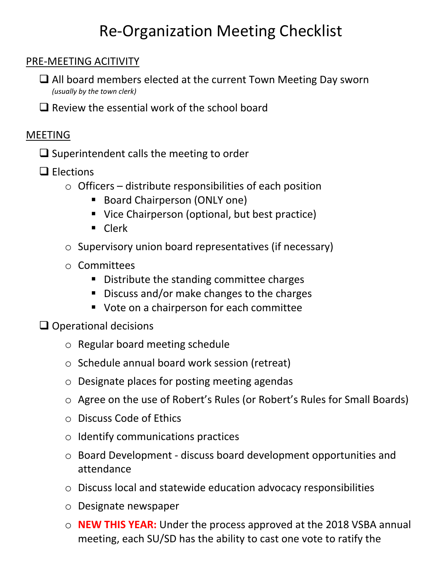## Re‐Organization Meeting Checklist

## PRE‐MEETING ACITIVITY

- $\Box$  All board members elected at the current Town Meeting Day sworn *(usually by the town clerk)*
- $\Box$  Review the essential work of the school board

## MEETING

- $\square$  Superintendent calls the meeting to order
- $\Box$  Elections
	- $\circ$  Officers distribute responsibilities of each position
		- Board Chairperson (ONLY one)
		- Vice Chairperson (optional, but best practice)
		- **Clerk**
	- o Supervisory union board representatives (if necessary)
	- o Committees
		- Distribute the standing committee charges
		- Discuss and/or make changes to the charges
		- Vote on a chairperson for each committee

## $\Box$  Operational decisions

- o Regular board meeting schedule
- o Schedule annual board work session (retreat)
- o Designate places for posting meeting agendas
- o Agree on the use of Robert's Rules (or Robert's Rules for Small Boards)
- o Discuss Code of Ethics
- o Identify communications practices
- o Board Development ‐ discuss board development opportunities and attendance
- o Discuss local and statewide education advocacy responsibilities
- o Designate newspaper
- o **NEW THIS YEAR:** Under the process approved at the 2018 VSBA annual meeting, each SU/SD has the ability to cast one vote to ratify the